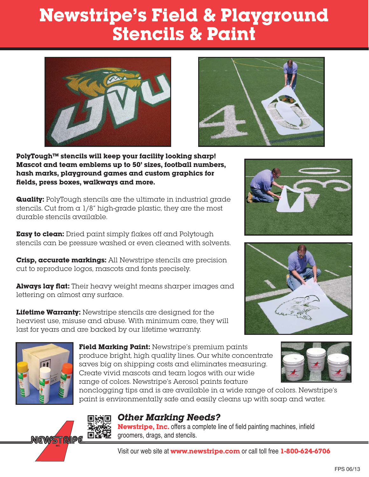## **Newstripe's Field & Playground Stencils & Paint**





**PolyTough™ stencils will keep your facility looking sharp! Mascot and team emblems up to 50' sizes, football numbers, hash marks, playground games and custom graphics for fields, press boxes, walkways and more.**

**Quality:** PolyTough stencils are the ultimate in industrial grade stencils. Cut from a 1/8" high-grade plastic, they are the most durable stencils available.

**Easy to clean:** Dried paint simply flakes off and Polytough stencils can be pressure washed or even cleaned with solvents.

**Crisp, accurate markings:** All Newstripe stencils are precision cut to reproduce logos, mascots and fonts precisely.

**Always lay flat:** Their heavy weight means sharper images and lettering on almost any surface.

**Lifetime Warranty:** Newstripe stencils are designed for the heaviest use, misuse and abuse. With minimum care, they will last for years and are backed by our lifetime warranty.



**Field Marking Paint:** Newstripe's premium paints produce bright, high quality lines. Our white concentrate saves big on shipping costs and eliminates measuring. Create vivid mascots and team logos with our wide range of colors. Newstripe's Aerosol paints feature



nonclogging tips and is are available in a wide range of colors. Newstripe's paint is environmentally safe and easily cleans up with soap and water.



### **Other Marking Needs?**

**Newstripe, Inc.** offers a complete line of field painting machines, infield groomers, drags, and stencils.

Visit our web site at **www.newstripe.com** or call toll free **1-800-624-6706**